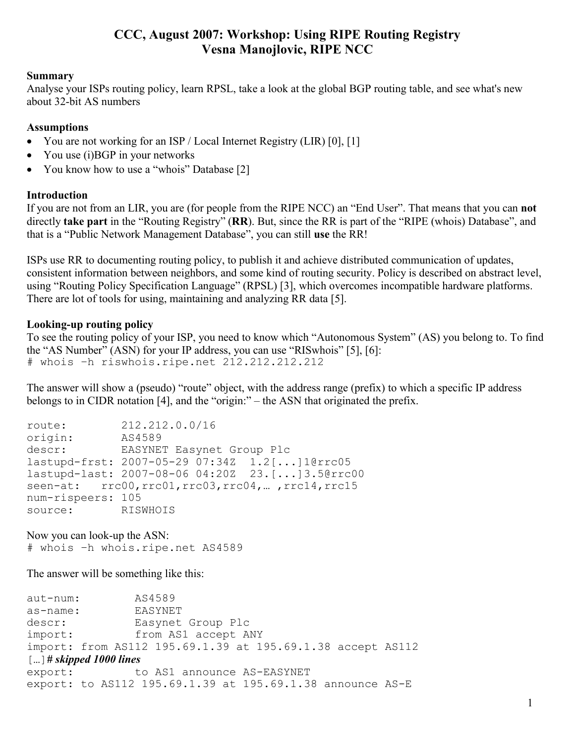# **CCC, August 2007: Workshop: Using RIPE Routing Registry Vesna Manojlovic, RIPE NCC**

#### **Summary**

Analyse your ISPs routing policy, learn RPSL, take a look at the global BGP routing table, and see what's new about 32-bit AS numbers

#### **Assumptions**

- You are not working for an ISP / Local Internet Registry (LIR) [0], [1]
- You use  $(i)$ BGP in your networks
- You know how to use a "whois" Database [2]

#### **Introduction**

If you are not from an LIR, you are (for people from the RIPE NCC) an "End User". That means that you can **not** directly **take part** in the "Routing Registry" (**RR**). But, since the RR is part of the "RIPE (whois) Database", and that is a "Public Network Management Database", you can still **use** the RR!

ISPs use RR to documenting routing policy, to publish it and achieve distributed communication of updates, consistent information between neighbors, and some kind of routing security. Policy is described on abstract level, using "Routing Policy Specification Language" (RPSL) [3], which overcomes incompatible hardware platforms. There are lot of tools for using, maintaining and analyzing RR data [5].

#### **Looking-up routing policy**

To see the routing policy of your ISP, you need to know which "Autonomous System" (AS) you belong to. To find the "AS Number" (ASN) for your IP address, you can use "RISwhois" [5], [6]: # whois –h riswhois.ripe.net 212.212.212.212

The answer will show a (pseudo) "route" object, with the address range (prefix) to which a specific IP address belongs to in CIDR notation [4], and the "origin:" – the ASN that originated the prefix.

| route:            | 212.212.0.0/16                                             |
|-------------------|------------------------------------------------------------|
| origin:           | AS4589                                                     |
|                   | descr: EASYNET Easynet Group Plc                           |
|                   | lastupd-frst: 2007-05-29 07:34Z 1.2[]1@rrc05               |
|                   | lastupd-last: 2007-08-06 04:20Z 23.[]3.5@rrc00             |
|                   | seen-at: $rcc00, rrc01, rrc03, rrc04, \dots, rrc14, rrc15$ |
| num-rispeers: 105 |                                                            |
| source: RISWHOIS  |                                                            |

Now you can look-up the ASN: # whois –h whois.ripe.net AS4589

The answer will be something like this:

| aut-num:                                    | AS4589                                                     |  |
|---------------------------------------------|------------------------------------------------------------|--|
| as-name:                                    | EASYNET                                                    |  |
| descr:                                      | Easynet Group Plc                                          |  |
| import:                                     | from AS1 accept ANY                                        |  |
|                                             | import: from AS112 195.69.1.39 at 195.69.1.38 accept AS112 |  |
| $\left[ \dots \right]$ # skipped 1000 lines |                                                            |  |
| export:                                     | to AS1 announce AS-EASYNET                                 |  |
|                                             | export: to AS112 195.69.1.39 at 195.69.1.38 announce AS-E  |  |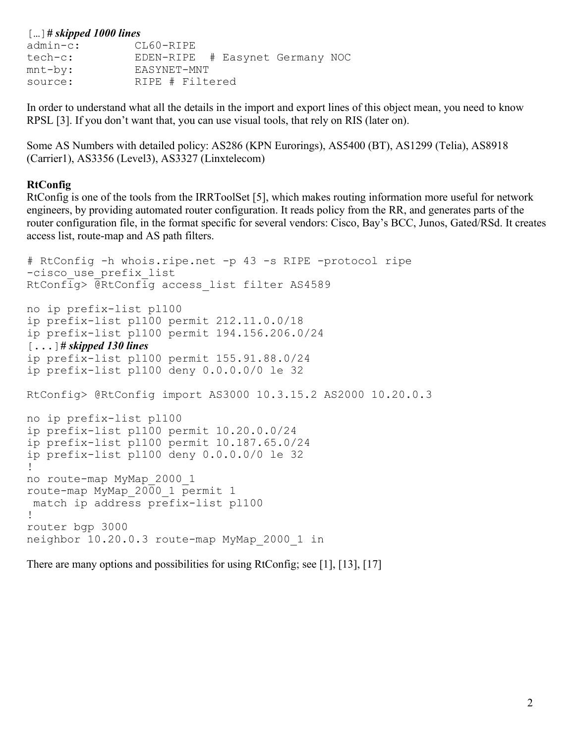| $\left[ \dots \right]$ # skipped 1000 lines |                                 |  |  |  |
|---------------------------------------------|---------------------------------|--|--|--|
| $admin-c$ :                                 | CL60-RIPE                       |  |  |  |
| tech-c:                                     | EDEN-RIPE # Easynet Germany NOC |  |  |  |
| $mnt-by:$                                   | EASYNET-MNT                     |  |  |  |
| source:                                     | RIPE # Filtered                 |  |  |  |

In order to understand what all the details in the import and export lines of this object mean, you need to know RPSL [3]. If you don't want that, you can use visual tools, that rely on RIS (later on).

Some AS Numbers with detailed policy: AS286 (KPN Eurorings), AS5400 (BT), AS1299 (Telia), AS8918 (Carrier1), AS3356 (Level3), AS3327 (Linxtelecom)

#### **RtConfig**

RtConfig is one of the tools from the IRRToolSet [5], which makes routing information more useful for network engineers, by providing automated router configuration. It reads policy from the RR, and generates parts of the router configuration file, in the format specific for several vendors: Cisco, Bay's BCC, Junos, Gated/RSd. It creates access list, route-map and AS path filters.

# RtConfig -h whois.ripe.net -p 43 -s RIPE -protocol ripe -cisco use prefix list RtConfig> @RtConfig access\_list filter AS4589 no ip prefix-list pl100 ip prefix-list pl100 permit 212.11.0.0/18 ip prefix-list pl100 permit 194.156.206.0/24 [...]*# skipped 130 lines* ip prefix-list pl100 permit 155.91.88.0/24 ip prefix-list pl100 deny 0.0.0.0/0 le 32 RtConfig> @RtConfig import AS3000 10.3.15.2 AS2000 10.20.0.3 no ip prefix-list pl100 ip prefix-list pl100 permit 10.20.0.0/24 ip prefix-list pl100 permit 10.187.65.0/24 ip prefix-list pl100 deny 0.0.0.0/0 le 32 ! no route-map MyMap\_2000\_1 route-map MyMap\_2000\_1 permit 1 match ip address prefix-list pl100 ! router bgp 3000 neighbor 10.20.0.3 route-map MyMap\_2000\_1 in

There are many options and possibilities for using RtConfig; see [1], [13], [17]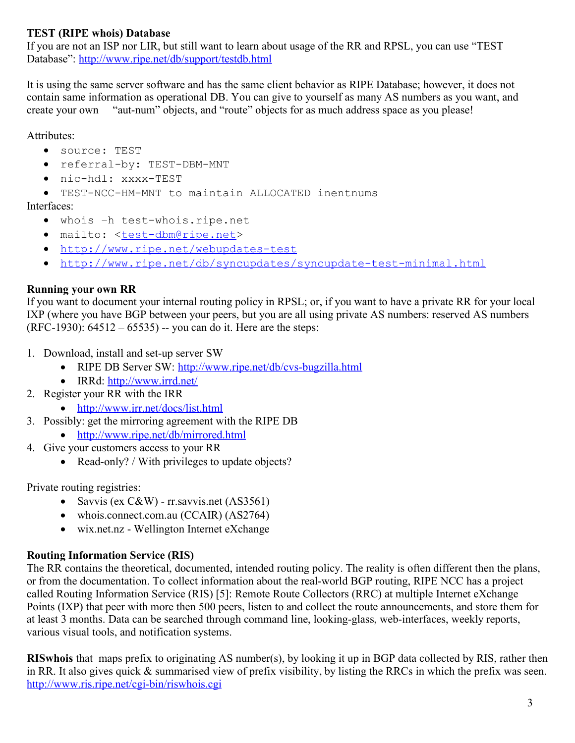## **TEST (RIPE whois) Database**

If you are not an ISP nor LIR, but still want to learn about usage of the RR and RPSL, you can use "TEST Database": http://www.ripe.net/db/support/testdb.html

It is using the same server software and has the same client behavior as RIPE Database; however, it does not contain same information as operational DB. You can give to yourself as many AS numbers as you want, and create your own "aut-num" objects, and "route" objects for as much address space as you please!

#### Attributes:

- source: TEST
- referral-by: TEST-DBM-MNT
- nic-hdl: xxxx-TEST
- TEST-NCC-HM-MNT to maintain ALLOCATED inentnums

#### Interfaces:

- whois –h test-whois.ripe.net
- mailto: <test-dbm@ripe.net>
- http://www.ripe.net/webupdates-test
- http://www.ripe.net/db/syncupdates/syncupdate-test-minimal.html

### **Running your own RR**

If you want to document your internal routing policy in RPSL; or, if you want to have a private RR for your local IXP (where you have BGP between your peers, but you are all using private AS numbers: reserved AS numbers (RFC-1930): 64512 – 65535) -- you can do it. Here are the steps:

- 1. Download, install and set-up server SW
	- RIPE DB Server SW: http://www.ripe.net/db/cvs-bugzilla.html
	- IRRd: http://www.irrd.net/
- 2. Register your RR with the IRR
	- $\bullet$  http://www.irr.net/docs/list.html
- 3. Possibly: get the mirroring agreement with the RIPE DB
	- $\bullet$  http://www.ripe.net/db/mirrored.html
- 4. Give your customers access to your RR
	- Read-only? / With privileges to update objects?

Private routing registries:

- Savvis (ex C&W) rr. savvis.net (AS3561)
- whois.connect.com.au (CCAIR) (AS2764)
- wix.net.nz Wellington Internet eXchange

### **Routing Information Service (RIS)**

The RR contains the theoretical, documented, intended routing policy. The reality is often different then the plans, or from the documentation. To collect information about the real-world BGP routing, RIPE NCC has a project called Routing Information Service (RIS) [5]: Remote Route Collectors (RRC) at multiple Internet eXchange Points (IXP) that peer with more then 500 peers, listen to and collect the route announcements, and store them for at least 3 months. Data can be searched through command line, looking-glass, web-interfaces, weekly reports, various visual tools, and notification systems.

**RISwhois** that maps prefix to originating AS number(s), by looking it up in BGP data collected by RIS, rather then in RR. It also gives quick & summarised view of prefix visibility, by listing the RRCs in which the prefix was seen. http://www.ris.ripe.net/cgi-bin/riswhois.cgi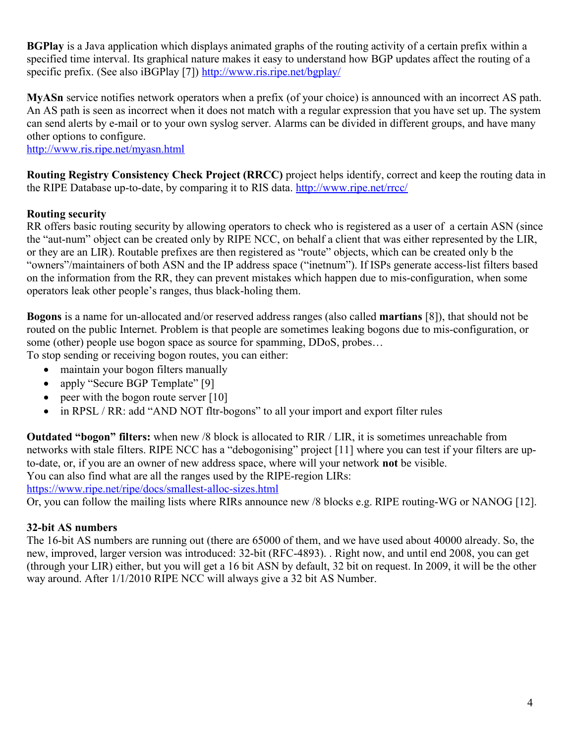**BGPlay** is a Java application which displays animated graphs of the routing activity of a certain prefix within a specified time interval. Its graphical nature makes it easy to understand how BGP updates affect the routing of a specific prefix. (See also iBGPlay [7]) http://www.ris.ripe.net/bgplay/

**MyASn** service notifies network operators when a prefix (of your choice) is announced with an incorrect AS path. An AS path is seen as incorrect when it does not match with a regular expression that you have set up. The system can send alerts by e-mail or to your own syslog server. Alarms can be divided in different groups, and have many other options to configure.

http://www.ris.ripe.net/myasn.html

**Routing Registry Consistency Check Project (RRCC)** project helps identify, correct and keep the routing data in the RIPE Database up-to-date, by comparing it to RIS data. http://www.ripe.net/rrcc/

### **Routing security**

RR offers basic routing security by allowing operators to check who is registered as a user of a certain ASN (since the "aut-num" object can be created only by RIPE NCC, on behalf a client that was either represented by the LIR, or they are an LIR). Routable prefixes are then registered as "route" objects, which can be created only b the "owners"/maintainers of both ASN and the IP address space ("inetnum"). If ISPs generate access-list filters based on the information from the RR, they can prevent mistakes which happen due to mis-configuration, when some operators leak other people's ranges, thus black-holing them.

**Bogons** is a name for un-allocated and/or reserved address ranges (also called **martians** [8]), that should not be routed on the public Internet. Problem is that people are sometimes leaking bogons due to mis-configuration, or some (other) people use bogon space as source for spamming, DDoS, probes…

To stop sending or receiving bogon routes, you can either:

- maintain your bogon filters manually
- apply "Secure BGP Template" [9]
- peer with the bogon route server  $[10]$
- in RPSL / RR: add "AND NOT fltr-bogons" to all your import and export filter rules

**Outdated "bogon" filters:** when new /8 block is allocated to RIR / LIR, it is sometimes unreachable from networks with stale filters. RIPE NCC has a "debogonising" project [11] where you can test if your filters are upto-date, or, if you are an owner of new address space, where will your network **not** be visible. You can also find what are all the ranges used by the RIPE-region LIRs:

https://www.ripe.net/ripe/docs/smallest-alloc-sizes.html

Or, you can follow the mailing lists where RIRs announce new /8 blocks e.g. RIPE routing-WG or NANOG [12].

#### **32-bit AS numbers**

The 16-bit AS numbers are running out (there are 65000 of them, and we have used about 40000 already. So, the new, improved, larger version was introduced: 32-bit (RFC-4893). . Right now, and until end 2008, you can get (through your LIR) either, but you will get a 16 bit ASN by default, 32 bit on request. In 2009, it will be the other way around. After 1/1/2010 RIPE NCC will always give a 32 bit AS Number.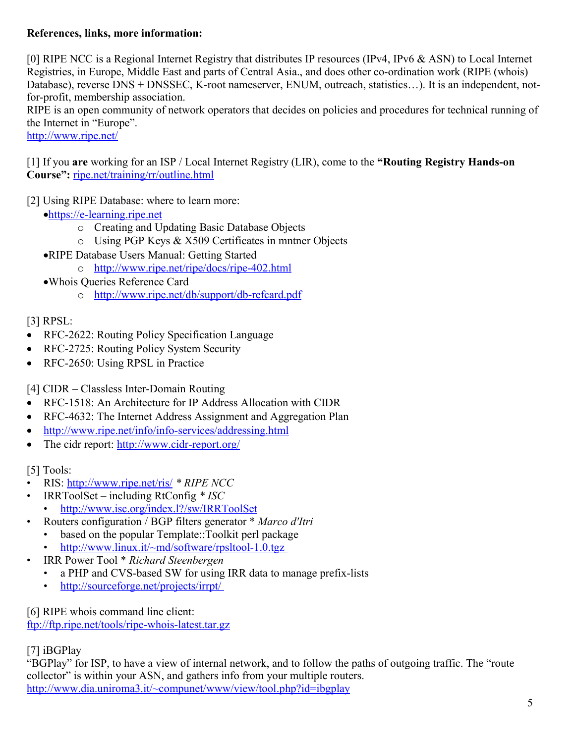### **References, links, more information:**

[0] RIPE NCC is a Regional Internet Registry that distributes IP resources (IPv4, IPv6 & ASN) to Local Internet Registries, in Europe, Middle East and parts of Central Asia., and does other co-ordination work (RIPE (whois) Database), reverse DNS + DNSSEC, K-root nameserver, ENUM, outreach, statistics…). It is an independent, notfor-profit, membership association.

RIPE is an open community of network operators that decides on policies and procedures for technical running of the Internet in "Europe".

http://www.ripe.net/

[1] If you **are** working for an ISP / Local Internet Registry (LIR), come to the **"Routing Registry Hands-on Course":** ripe.net/training/rr/outline.html

[2] Using RIPE Database: where to learn more:

- https://e -learning.ripe.net
	- o Creating and Updating Basic Database Objects
	- o Using PGP Keys & X509 Certificates in mntner Objects
- RIPE Database Users Manual: Getting Started
	- o http://www.ripe.net/ripe/docs/ripe-402.html
- Whois Queries Reference Card
	- o http://www.ripe.net/db/support/db-refcard.pdf

# [3] RPSL:

- RFC-2622: Routing Policy Specification Language
- RFC-2725: Routing Policy System Security
- RFC-2650: Using RPSL in Practice

[4] CIDR – Classless Inter-Domain Routing

- RFC-1518: An Architecture for IP Address Allocation with CIDR
- RFC-4632: The Internet Address Assignment and Aggregation Plan
- $\bullet$  http://www.ripe.net/info/info-services/addressing.html
- The cidr report: http://www.cidr-report.org/

# [5] Tools:

- RIS: http://www.ripe.net/ris/ *\* RIPE NCC*
- IRRToolSet including RtConfig *\* ISC* http://www.isc.org/index.l?/sw/IRRToolSet
- Routers configuration / BGP filters generator \* *Marco d'Itri* 
	- based on the popular Template::Toolkit perl package
	- http://www.linux.it/~md/software/rpsltool-1.0.tgz
- IRR Power Tool \* *Richard Steenbergen*
	- a PHP and CVS-based SW for using IRR data to manage prefix-lists
	- $\bullet$  http://sourceforge.net/projects/irrpt/

[6] RIPE whois command line client:

ftp://ftp.ripe.net/tools/ripe-whois-latest.tar.gz

[7] iBGPlay

"BGPlay" for ISP, to have a view of internal network, and to follow the paths of outgoing traffic. The "route collector" is within your ASN, and gathers info from your multiple routers. http://www.dia.uniroma3.it/~compunet/www/view/tool.php?id=ibgplay